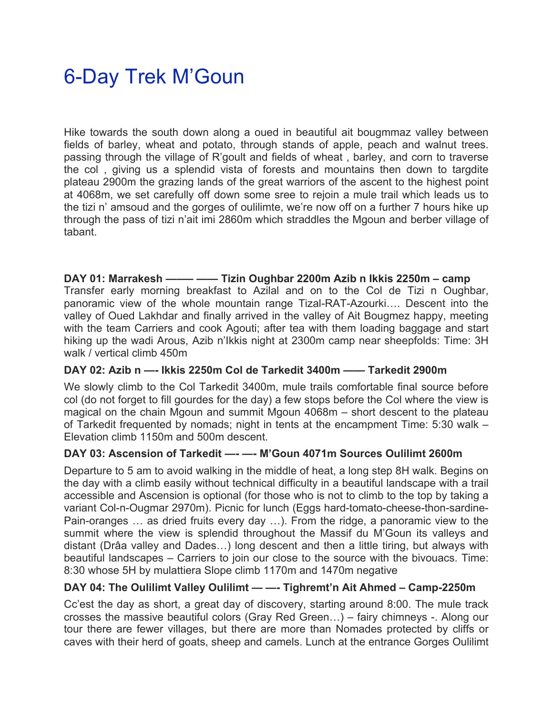# 6-Day Trek M'Goun

Hike towards the south down along a oued in beautiful ait bougmmaz valley between fields of barley, wheat and potato, through stands of apple, peach and walnut trees. passing through the village of R'goult and fields of wheat , barley, and corn to traverse the col , giving us a splendid vista of forests and mountains then down to targdite plateau 2900m the grazing lands of the great warriors of the ascent to the highest point at 4068m, we set carefully off down some sree to rejoin a mule trail which leads us to the tizi n' amsoud and the gorges of oulilimte, we're now off on a further 7 hours hike up through the pass of tizi n'ait imi 2860m which straddles the Mgoun and berber village of tabant.

#### **DAY 01: Marrakesh ——– —— Tizin Oughbar 2200m Azib n Ikkis 2250m – camp**

Transfer early morning breakfast to Azilal and on to the Col de Tizi n Oughbar, panoramic view of the whole mountain range Tizal-RAT-Azourki…. Descent into the valley of Oued Lakhdar and finally arrived in the valley of Ait Bougmez happy, meeting with the team Carriers and cook Agouti; after tea with them loading baggage and start hiking up the wadi Arous, Azib n'Ikkis night at 2300m camp near sheepfolds: Time: 3H walk / vertical climb 450m

#### **DAY 02: Azib n —- Ikkis 2250m Col de Tarkedit 3400m —— Tarkedit 2900m**

We slowly climb to the Col Tarkedit 3400m, mule trails comfortable final source before col (do not forget to fill gourdes for the day) a few stops before the Col where the view is magical on the chain Mgoun and summit Mgoun 4068m – short descent to the plateau of Tarkedit frequented by nomads; night in tents at the encampment Time: 5:30 walk – Elevation climb 1150m and 500m descent.

# **DAY 03: Ascension of Tarkedit —- —- M'Goun 4071m Sources Oulilimt 2600m**

Departure to 5 am to avoid walking in the middle of heat, a long step 8H walk. Begins on the day with a climb easily without technical difficulty in a beautiful landscape with a trail accessible and Ascension is optional (for those who is not to climb to the top by taking a variant Col-n-Ougmar 2970m). Picnic for lunch (Eggs hard-tomato-cheese-thon-sardine-Pain-oranges … as dried fruits every day …). From the ridge, a panoramic view to the summit where the view is splendid throughout the Massif du M'Goun its valleys and distant (Drâa valley and Dades…) long descent and then a little tiring, but always with beautiful landscapes – Carriers to join our close to the source with the bivouacs. Time: 8:30 whose 5H by mulattiera Slope climb 1170m and 1470m negative

# **DAY 04: The Oulilimt Valley Oulilimt — —- Tighremt'n Ait Ahmed – Camp-2250m**

Cc'est the day as short, a great day of discovery, starting around 8:00. The mule track crosses the massive beautiful colors (Gray Red Green…) – fairy chimneys -. Along our tour there are fewer villages, but there are more than Nomades protected by cliffs or caves with their herd of goats, sheep and camels. Lunch at the entrance Gorges Oulilimt